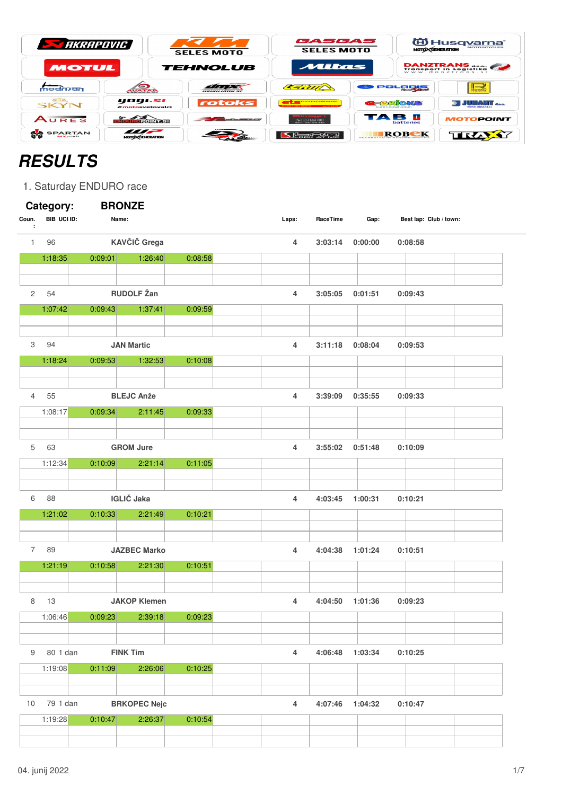| <b>EXPRESS AND ARRANGEMENT</b> |                                    | <b>SELES MOTO</b>                                                                                                                                                                                                                    | GASGAS<br><b>SELES MOTO</b>              | <b>MOTO CGENERATION</b>                   | <b>ED Husqvarna</b><br><b>MOTORCYCLES</b> |
|--------------------------------|------------------------------------|--------------------------------------------------------------------------------------------------------------------------------------------------------------------------------------------------------------------------------------|------------------------------------------|-------------------------------------------|-------------------------------------------|
| <b>MOTUL</b>                   |                                    | <b>TEHNOLUB</b>                                                                                                                                                                                                                      | Mitas                                    |                                           | DANZTRANS                                 |
| modrijan                       | $\bullet$<br><b>WATAN</b>          | 1000<br><i><b>URURLLINDESI</b></i>                                                                                                                                                                                                   | CERTITA                                  | POLERE                                    | $\mathbb{R}$                              |
| <b>GISB.</b><br><b>SKYN</b>    | yogi.si<br>#motosvetovalci         | rotoks                                                                                                                                                                                                                               | GROODNIK<br><b>WANTED BOAT A REAL AT</b> | <b>GERMORS</b><br><b>DUTH IMAGINATION</b> | <b>I JUHANIT</b> and                      |
| AURES                          | NOUROPOINT.SI                      | <u> The Company of the Company of the Company of the Company of the Company of the Company of the Company of the Company of the Company of the Company of the Company of the Company of the Company of the Company of the Compan</u> | Gam 081 411 418                          | TAB 5<br><b>batteries</b>                 | <b>MOTOPOINT</b>                          |
| <b>SPARTAN</b><br>$MX$ parts   | <i>m</i><br><b>MOTO CENERATION</b> |                                                                                                                                                                                                                                      | St <del>a</del> tern                     | ROBEK                                     | TRAXY                                     |

## **RESULTS**

1. Saturday ENDURO race

|                | Category:   | <b>BRONZE</b>       |         |                |                 |                 |                        |
|----------------|-------------|---------------------|---------|----------------|-----------------|-----------------|------------------------|
| Coun.<br>÷     | BIB UCI ID: | Name:               |         | Laps:          | RaceTime        | Gap:            | Best lap: Club / town: |
| 1.             | 96          | KAVČIČ Grega        |         | 4              | 3:03:14         | 0:00:00         | 0:08:58                |
|                | 1:18:35     | 0:09:01<br>1:26:40  | 0:08:58 |                |                 |                 |                        |
|                |             |                     |         |                |                 |                 |                        |
| 2              | 54          | <b>RUDOLF Žan</b>   |         | 4              | 3:05:05         | 0:01:51         | 0:09:43                |
|                | 1:07:42     | 0:09:43<br>1:37:41  | 0:09:59 |                |                 |                 |                        |
|                |             |                     |         |                |                 |                 |                        |
| 3              | 94          | <b>JAN Martic</b>   |         | 4              | 3:11:18         | 0:08:04         | 0:09:53                |
|                | 1:18:24     | 0:09:53<br>1:32:53  | 0:10:08 |                |                 |                 |                        |
|                |             |                     |         |                |                 |                 |                        |
| 4              | 55          | <b>BLEJC Anže</b>   |         | 4              | 3:39:09         | 0:35:55         | 0:09:33                |
|                | 1:08:17     | 0:09:34<br>2:11:45  | 0:09:33 |                |                 |                 |                        |
|                |             |                     |         |                |                 |                 |                        |
| 5              | 63          | <b>GROM Jure</b>    |         | 4              | 3:55:02         | 0:51:48         | 0:10:09                |
|                | 1:12:34     | 0:10:09<br>2:21:14  | 0:11:05 |                |                 |                 |                        |
|                |             |                     |         |                |                 |                 |                        |
| 6              | 88          | <b>IGLIČ</b> Jaka   |         | 4              | 4:03:45         | 1:00:31         | 0:10:21                |
|                | 1:21:02     | 0:10:33<br>2:21:49  | 0:10:21 |                |                 |                 |                        |
|                |             |                     |         |                |                 |                 |                        |
|                |             |                     |         |                |                 |                 |                        |
| $\overline{7}$ | 89          | <b>JAZBEC Marko</b> |         | 4              | 4:04:38         | 1:01:24         | 0:10:51                |
|                | 1:21:19     | 0:10:58<br>2:21:30  | 0:10:51 |                |                 |                 |                        |
|                |             |                     |         |                |                 |                 |                        |
| 8              | 13          | <b>JAKOP Klemen</b> |         | 4              | 4:04:50         | 1:01:36         | 0:09:23                |
|                | 1:06:46     | 0:09:23<br>2:39:18  | 0:09:23 |                |                 |                 |                        |
|                |             |                     |         |                |                 |                 |                        |
| 9              | 80 1 dan    | <b>FINK Tim</b>     |         | $\overline{4}$ |                 | 4:06:48 1:03:34 | 0:10:25                |
|                | 1:19:08     | 0:11:09<br>2:26:06  | 0:10:25 |                |                 |                 |                        |
|                |             |                     |         |                |                 |                 |                        |
| 10             | 79 1 dan    | <b>BRKOPEC Nejc</b> |         | $\overline{4}$ | 4:07:46 1:04:32 |                 | 0:10:47                |
|                | 1:19:28     | 0:10:47<br>2:26:37  | 0:10:54 |                |                 |                 |                        |
|                |             |                     |         |                |                 |                 |                        |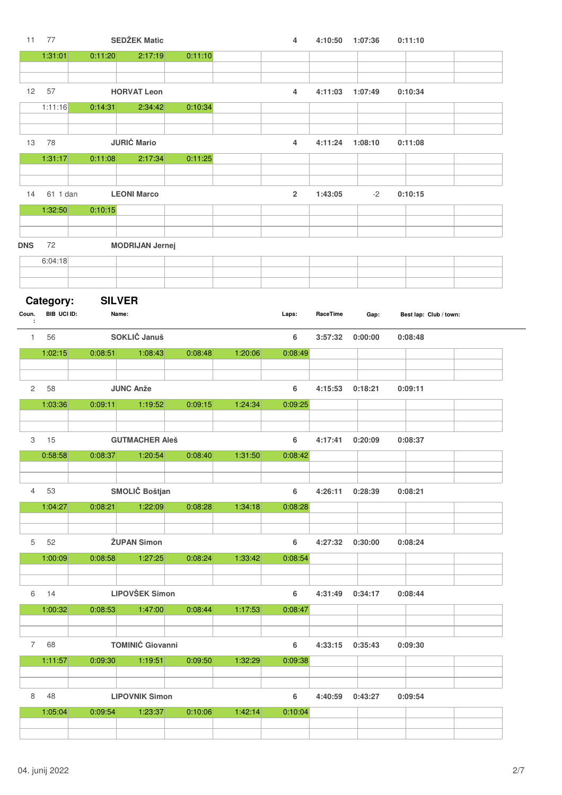| 11                            | 77          |         | <b>SEDŽEK Matic</b>     |         |         | $\overline{4}$ | 4:10:50  | 1:07:36 | 0:11:10                |
|-------------------------------|-------------|---------|-------------------------|---------|---------|----------------|----------|---------|------------------------|
|                               | 1:31:01     | 0:11:20 | 2:17:19                 | 0:11:10 |         |                |          |         |                        |
|                               |             |         |                         |         |         |                |          |         |                        |
| 12                            | 57          |         | <b>HORVAT Leon</b>      |         |         | $\overline{4}$ | 4:11:03  | 1:07:49 | 0:10:34                |
|                               | 1:11:16     | 0:14:31 | 2:34:42                 | 0:10:34 |         |                |          |         |                        |
|                               |             |         |                         |         |         |                |          |         |                        |
|                               |             |         |                         |         |         |                |          |         |                        |
| 13                            | 78          |         | <b>JURIĆ Mario</b>      |         |         | $\overline{4}$ | 4:11:24  | 1:08:10 | 0:11:08                |
|                               | 1:31:17     | 0:11:08 | 2:17:34                 | 0:11:25 |         |                |          |         |                        |
|                               |             |         |                         |         |         |                |          |         |                        |
| 14                            | 61 1 dan    |         | <b>LEONI Marco</b>      |         |         | $\overline{2}$ | 1:43:05  | $-2$    | 0:10:15                |
|                               |             |         |                         |         |         |                |          |         |                        |
|                               | 1:32:50     | 0:10:15 |                         |         |         |                |          |         |                        |
|                               |             |         |                         |         |         |                |          |         |                        |
| <b>DNS</b>                    | 72          |         | <b>MODRIJAN Jernej</b>  |         |         |                |          |         |                        |
|                               | 6:04:18     |         |                         |         |         |                |          |         |                        |
|                               |             |         |                         |         |         |                |          |         |                        |
|                               |             |         |                         |         |         |                |          |         |                        |
|                               | Category:   |         | <b>SILVER</b>           |         |         |                |          |         |                        |
| Coun.<br>$\ddot{\phantom{a}}$ | BIB UCI ID: |         | Name:                   |         |         | Laps:          | RaceTime | Gap:    | Best lap: Club / town: |
| $\mathbf{1}$                  | 56          |         | SOKLIČ Januš            |         |         | 6              | 3:57:32  | 0:00:00 | 0:08:48                |
|                               | 1:02:15     | 0:08:51 | 1:08:43                 | 0:08:48 | 1:20:06 | 0:08:49        |          |         |                        |
|                               |             |         |                         |         |         |                |          |         |                        |
|                               |             |         |                         |         |         |                |          |         |                        |
| 2                             | 58          |         | <b>JUNC Anže</b>        |         |         | $\bf 6$        | 4:15:53  | 0:18:21 | 0:09:11                |
|                               | 1:03:36     | 0:09:11 | 1:19:52                 | 0:09:15 | 1:24:34 | 0:09:25        |          |         |                        |
|                               |             |         |                         |         |         |                |          |         |                        |
| 3                             | 15          |         | <b>GUTMACHER Aleš</b>   |         |         | 6              | 4:17:41  | 0:20:09 | 0:08:37                |
|                               | 0:58:58     | 0:08:37 | 1:20:54                 | 0:08:40 | 1:31:50 | 0:08:42        |          |         |                        |
|                               |             |         |                         |         |         |                |          |         |                        |
|                               |             |         |                         |         |         |                |          |         |                        |
| 4                             | 53          |         | SMOLIČ Boštjan          |         |         | 6              | 4:26:11  | 0:28:39 | 0:08:21                |
|                               | 1:04:27     | 0:08:21 | 1:22:09                 | 0:08:28 | 1:34:18 | 0:08:28        |          |         |                        |
|                               |             |         |                         |         |         |                |          |         |                        |
| 5                             | 52          |         | <b>ŽUPAN Simon</b>      |         |         | 6              | 4:27:32  | 0:30:00 | 0:08:24                |
|                               | 1:00:09     | 0:08:58 | 1:27:25                 | 0:08:24 | 1:33:42 | 0:08:54        |          |         |                        |
|                               |             |         |                         |         |         |                |          |         |                        |
|                               |             |         |                         |         |         |                |          |         |                        |
| 6                             | 14          |         | <b>LIPOVŠEK Simon</b>   |         |         | 6              | 4:31:49  | 0:34:17 | 0:08:44                |
|                               | 1:00:32     | 0:08:53 | 1:47:00                 | 0:08:44 | 1:17:53 | 0:08:47        |          |         |                        |
|                               |             |         |                         |         |         |                |          |         |                        |
| $\overline{7}$                | 68          |         | <b>TOMINIĆ Giovanni</b> |         |         | 6              | 4:33:15  | 0:35:43 | 0:09:30                |
|                               | 1:11:57     | 0:09:30 | 1:19:51                 | 0:09:50 | 1:32:29 | 0:09:38        |          |         |                        |
|                               |             |         |                         |         |         |                |          |         |                        |
|                               |             |         |                         |         |         |                |          |         |                        |
| 8                             | 48          |         | <b>LIPOVNIK Simon</b>   |         |         | 6              | 4:40:59  | 0:43:27 | 0:09:54                |
|                               | 1:05:04     | 0:09:54 | 1:23:37                 | 0:10:06 | 1:42:14 | 0:10:04        |          |         |                        |
|                               |             |         |                         |         |         |                |          |         |                        |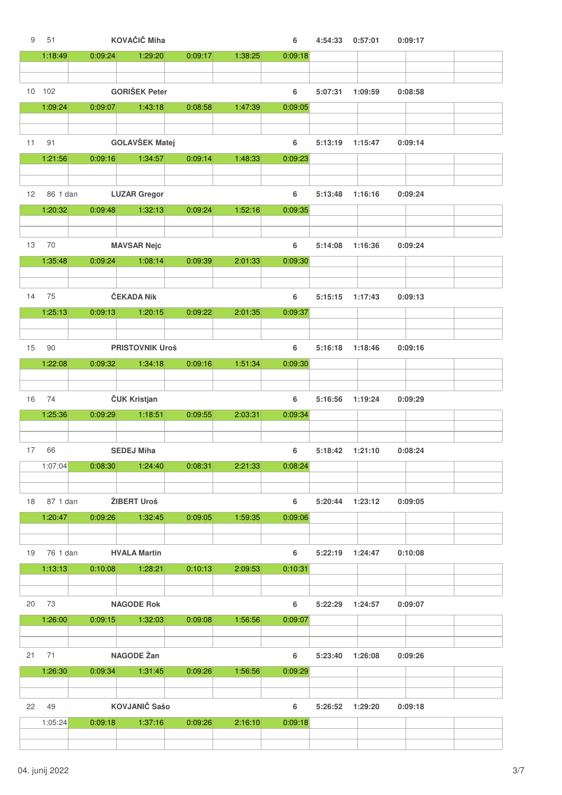| 9                 | 51       |         | KOVAČIČ Miha           |         |         | 6       | 4:54:33 | 0:57:01 | 0:09:17 |  |
|-------------------|----------|---------|------------------------|---------|---------|---------|---------|---------|---------|--|
|                   | 1:18:49  | 0:09:24 | 1:29:20                | 0:09:17 | 1:38:25 | 0:09:18 |         |         |         |  |
|                   |          |         |                        |         |         |         |         |         |         |  |
|                   | 10 102   |         | <b>GORIŠEK Peter</b>   |         |         | 6       | 5:07:31 | 1:09:59 | 0:08:58 |  |
|                   | 1:09:24  | 0:09:07 | 1:43:18                | 0:08:58 | 1:47:39 | 0:09:05 |         |         |         |  |
|                   |          |         |                        |         |         |         |         |         |         |  |
|                   |          |         |                        |         |         |         |         |         |         |  |
| 11                | 91       |         | <b>GOLAVŠEK Matej</b>  |         |         | 6       | 5:13:19 | 1:15:47 | 0:09:14 |  |
|                   | 1:21:56  | 0:09:16 | 1:34:57                | 0:09:14 | 1:48:33 | 0:09:23 |         |         |         |  |
|                   |          |         |                        |         |         |         |         |         |         |  |
| $12 \overline{ }$ | 86 1 dan |         | <b>LUZAR Gregor</b>    |         |         | 6       | 5:13:48 | 1:16:16 | 0:09:24 |  |
|                   | 1:20:32  | 0:09:48 | 1:32:13                | 0:09:24 | 1:52:16 | 0:09:35 |         |         |         |  |
|                   |          |         |                        |         |         |         |         |         |         |  |
| 13                | 70       |         | <b>MAVSAR Nejc</b>     |         |         | 6       | 5:14:08 | 1:16:36 | 0:09:24 |  |
|                   |          |         |                        |         |         |         |         |         |         |  |
|                   | 1:35:48  | 0:09:24 | 1:08:14                | 0:09:39 | 2:01:33 | 0:09:30 |         |         |         |  |
|                   |          |         |                        |         |         |         |         |         |         |  |
| 14                | 75       |         | ČEKADA Nik             |         |         | 6       | 5:15:15 | 1:17:43 | 0:09:13 |  |
|                   | 1:25:13  | 0:09:13 | 1:20:15                | 0:09:22 | 2:01:35 | 0:09:37 |         |         |         |  |
|                   |          |         |                        |         |         |         |         |         |         |  |
| 15                | 90       |         | <b>PRISTOVNIK Uroš</b> |         |         | 6       | 5:16:18 | 1:18:46 | 0:09:16 |  |
|                   | 1:22:08  | 0:09:32 | 1:34:18                | 0:09:16 | 1:51:34 | 0:09:30 |         |         |         |  |
|                   |          |         |                        |         |         |         |         |         |         |  |
|                   |          |         |                        |         |         |         |         |         |         |  |
| 16                | 74       |         | ČUK Kristjan           |         |         | 6       | 5:16:56 | 1:19:24 | 0:09:29 |  |
|                   | 1:25:36  | 0:09:29 | 1:18:51                | 0:09:55 | 2:03:31 | 0:09:34 |         |         |         |  |
|                   |          |         |                        |         |         |         |         |         |         |  |
| 17                | 66       |         | <b>SEDEJ Miha</b>      |         |         | 6       | 5:18:42 | 1:21:10 | 0:08:24 |  |
|                   | 1:07:04  | 0:08:30 | 1:24:40                | 0:08:31 | 2:21:33 | 0:08:24 |         |         |         |  |
|                   |          |         |                        |         |         |         |         |         |         |  |
| 18                | 87 1 dan |         | ŽIBERT Uroš            |         |         | 6       | 5:20:44 | 1:23:12 | 0:09:05 |  |
|                   | 1:20:47  | 0:09:26 | 1:32:45                | 0:09:05 | 1:59:35 | 0:09:06 |         |         |         |  |
|                   |          |         |                        |         |         |         |         |         |         |  |
|                   |          |         |                        |         |         |         |         |         |         |  |
| 19                | 76 1 dan |         | <b>HVALA Martin</b>    |         |         | 6       | 5:22:19 | 1:24:47 | 0:10:08 |  |
|                   | 1:13:13  | 0:10:08 | 1:28:21                | 0:10:13 | 2:09:53 | 0:10:31 |         |         |         |  |
|                   |          |         |                        |         |         |         |         |         |         |  |
| 20                | 73       |         | <b>NAGODE Rok</b>      |         |         | 6       | 5:22:29 | 1:24:57 | 0:09:07 |  |
|                   | 1:26:00  | 0:09:15 | 1:32:03                | 0:09:08 | 1:56:56 | 0:09:07 |         |         |         |  |
|                   |          |         |                        |         |         |         |         |         |         |  |
|                   |          |         |                        |         |         |         |         |         |         |  |
| 21                | 71       |         | <b>NAGODE Žan</b>      |         |         | 6       | 5:23:40 | 1:26:08 | 0:09:26 |  |
|                   | 1:26:30  | 0:09:34 | 1:31:45                | 0:09:26 | 1:56:56 | 0:09:29 |         |         |         |  |
|                   |          |         |                        |         |         |         |         |         |         |  |
| 22                | 49       |         | <b>KOVJANIČ Sašo</b>   |         |         | 6       | 5:26:52 | 1:29:20 | 0:09:18 |  |
|                   |          |         |                        |         | 2:16:10 | 0:09:18 |         |         |         |  |
|                   | 1:05:24  | 0:09:18 | 1:37:16                | 0:09:26 |         |         |         |         |         |  |
|                   |          |         |                        |         |         |         |         |         |         |  |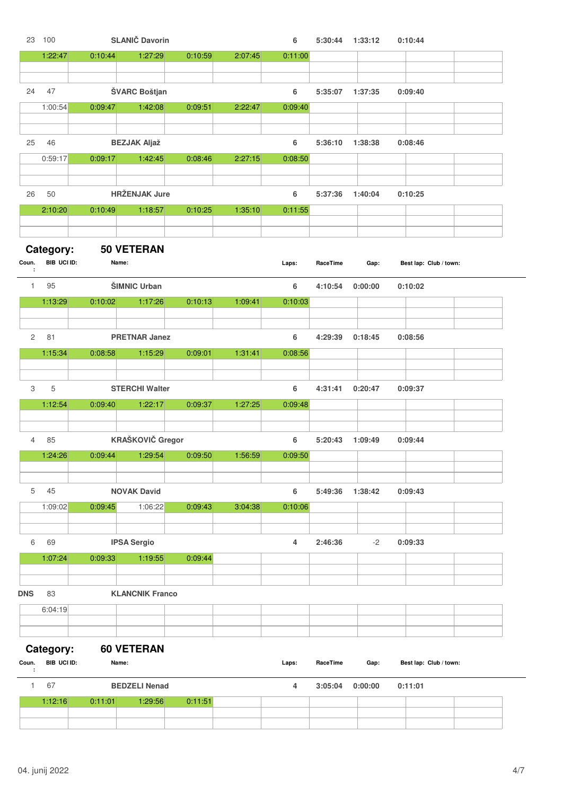|                | 23 100      |                   | <b>SLANIČ Davorin</b>  |         |         | 6       |          | 5:30:44 1:33:12 | 0:10:44                |  |
|----------------|-------------|-------------------|------------------------|---------|---------|---------|----------|-----------------|------------------------|--|
|                | 1:22:47     | 0:10:44           | 1:27:29                | 0:10:59 | 2:07:45 | 0:11:00 |          |                 |                        |  |
|                |             |                   |                        |         |         |         |          |                 |                        |  |
| 24             | 47          |                   | ŠVARC Boštjan          |         |         | 6       | 5:35:07  | 1:37:35         | 0:09:40                |  |
|                | 1:00:54     | 0:09:47           | 1:42:08                | 0:09:51 | 2:22:47 | 0:09:40 |          |                 |                        |  |
|                |             |                   |                        |         |         |         |          |                 |                        |  |
|                |             |                   |                        |         |         |         |          |                 |                        |  |
| 25             | 46          |                   | <b>BEZJAK Aljaž</b>    |         |         | 6       | 5:36:10  | 1:38:38         | 0:08:46                |  |
|                | 0:59:17     | 0:09:17           | 1:42:45                | 0:08:46 | 2:27:15 | 0:08:50 |          |                 |                        |  |
|                |             |                   |                        |         |         |         |          |                 |                        |  |
| 26             | 50          |                   | <b>HRŽENJAK Jure</b>   |         |         | 6       | 5:37:36  | 1:40:04         | 0:10:25                |  |
|                | 2:10:20     |                   |                        |         | 1:35:10 |         |          |                 |                        |  |
|                |             | 0:10:49           | 1:18:57                | 0:10:25 |         | 0:11:55 |          |                 |                        |  |
|                |             |                   |                        |         |         |         |          |                 |                        |  |
|                | Category:   | <b>50 VETERAN</b> |                        |         |         |         |          |                 |                        |  |
| Coun.          | BIB UCI ID: | Name:             |                        |         |         | Laps:   | RaceTime | Gap:            | Best lap: Club / town: |  |
| ÷              |             |                   |                        |         |         |         |          |                 |                        |  |
| $\mathbf{1}$   | 95          |                   | ŠIMNIC Urban           |         |         | 6       | 4:10:54  | 0:00:00         | 0:10:02                |  |
|                | 1:13:29     | 0:10:02           | 1:17:26                | 0:10:13 | 1:09:41 | 0:10:03 |          |                 |                        |  |
|                |             |                   |                        |         |         |         |          |                 |                        |  |
| $\overline{c}$ | 81          |                   | <b>PRETNAR Janez</b>   |         |         | 6       | 4:29:39  | 0:18:45         | 0:08:56                |  |
|                | 1:15:34     | 0:08:58           | 1:15:29                | 0:09:01 | 1:31:41 | 0:08:56 |          |                 |                        |  |
|                |             |                   |                        |         |         |         |          |                 |                        |  |
|                |             |                   |                        |         |         |         |          |                 |                        |  |
| 3              | 5           |                   | <b>STERCHI Walter</b>  |         |         | 6       | 4:31:41  | 0:20:47         | 0:09:37                |  |
|                | 1:12:54     | 0:09:40           | 1:22:17                | 0:09:37 | 1:27:25 | 0:09:48 |          |                 |                        |  |
|                |             |                   |                        |         |         |         |          |                 |                        |  |
| $\overline{4}$ | 85          |                   | KRAŠKOVIČ Gregor       |         |         | 6       | 5:20:43  | 1:09:49         | 0:09:44                |  |
|                | 1:24:26     | 0:09:44           | 1:29:54                | 0:09:50 | 1:56:59 | 0:09:50 |          |                 |                        |  |
|                |             |                   |                        |         |         |         |          |                 |                        |  |
|                |             |                   |                        |         |         |         |          |                 |                        |  |
| 5              | 45          |                   | <b>NOVAK David</b>     |         |         | 6       | 5:49:36  | 1:38:42         | 0:09:43                |  |
|                | 1:09:02     | 0:09:45           | 1:06:22                | 0:09:43 | 3:04:38 | 0:10:06 |          |                 |                        |  |
|                |             |                   |                        |         |         |         |          |                 |                        |  |
| 6              | 69          |                   | <b>IPSA Sergio</b>     |         |         | 4       | 2:46:36  | $-2$            | 0:09:33                |  |
|                | 1:07:24     | 0:09:33           | 1:19:55                | 0:09:44 |         |         |          |                 |                        |  |
|                |             |                   |                        |         |         |         |          |                 |                        |  |
|                |             |                   |                        |         |         |         |          |                 |                        |  |
| <b>DNS</b>     | 83          |                   | <b>KLANCNIK Franco</b> |         |         |         |          |                 |                        |  |
|                | 6:04:19     |                   |                        |         |         |         |          |                 |                        |  |
|                |             |                   |                        |         |         |         |          |                 |                        |  |
|                |             |                   |                        |         |         |         |          |                 |                        |  |
|                | Category:   | <b>60 VETERAN</b> |                        |         |         |         |          |                 |                        |  |
| Coun.<br>÷     | BIB UCI ID: | Name:             |                        |         |         | Laps:   | RaceTime | Gap:            | Best lap: Club / town: |  |
| $\mathbf{1}$   | 67          |                   | <b>BEDZELI Nenad</b>   |         |         | 4       | 3:05:04  | 0:00:00         | 0:11:01                |  |
|                | 1:12:16     | 0:11:01           | 1:29:56                | 0:11:51 |         |         |          |                 |                        |  |
|                |             |                   |                        |         |         |         |          |                 |                        |  |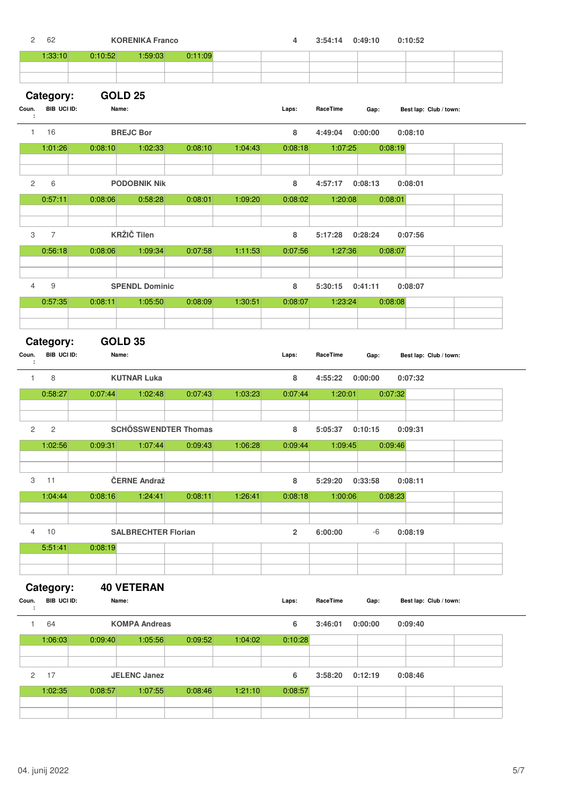| 2            | 62                       |         |                    | <b>KORENIKA Franco</b>     |                             |         | 4              | 3:54:14  | 0:49:10 | 0:10:52                |  |
|--------------|--------------------------|---------|--------------------|----------------------------|-----------------------------|---------|----------------|----------|---------|------------------------|--|
|              | 1:33:10                  | 0:10:52 |                    | 1:59:03                    | 0:11:09                     |         |                |          |         |                        |  |
|              |                          |         |                    |                            |                             |         |                |          |         |                        |  |
|              |                          |         | <b>GOLD 25</b>     |                            |                             |         |                |          |         |                        |  |
| Coun.        | Category:<br>BIB UCI ID: |         | Name:              |                            |                             |         | Laps:          | RaceTime | Gap:    | Best lap: Club / town: |  |
| ÷            | 16                       |         |                    |                            |                             |         |                |          | 0:00:00 |                        |  |
| $\mathbf{1}$ |                          |         | <b>BREJC Bor</b>   |                            |                             |         | 8              | 4:49:04  |         | 0:08:10                |  |
|              | 1:01:26                  | 0:08:10 |                    | 1:02:33                    | 0:08:10                     | 1:04:43 | 0:08:18        | 1:07:25  |         | 0:08:19                |  |
|              |                          |         |                    |                            |                             |         |                |          |         |                        |  |
| 2            | 6                        |         |                    | <b>PODOBNIK Nik</b>        |                             |         | 8              | 4:57:17  | 0:08:13 | 0:08:01                |  |
|              | 0:57:11                  | 0:08:06 |                    | 0:58:28                    | 0:08:01                     | 1:09:20 | 0:08:02        | 1:20:08  |         | 0:08:01                |  |
|              |                          |         |                    |                            |                             |         |                |          |         |                        |  |
| 3            | $\overline{7}$           |         | <b>KRŽIČ Tilen</b> |                            |                             |         | 8              | 5:17:28  | 0:28:24 | 0:07:56                |  |
|              | 0:56:18                  | 0:08:06 |                    | 1:09:34                    | 0:07:58                     | 1:11:53 | 0:07:56        | 1:27:36  |         | 0:08:07                |  |
|              |                          |         |                    |                            |                             |         |                |          |         |                        |  |
|              |                          |         |                    |                            |                             |         |                |          |         |                        |  |
| 4            | $\boldsymbol{9}$         |         |                    | <b>SPENDL Dominic</b>      |                             |         | 8              | 5:30:15  | 0:41:11 | 0:08:07                |  |
|              | 0:57:35                  | 0:08:11 |                    | 1:05:50                    | 0:08:09                     | 1:30:51 | 0:08:07        | 1:23:24  |         | 0:08:08                |  |
|              |                          |         |                    |                            |                             |         |                |          |         |                        |  |
|              | Category:                |         | <b>GOLD 35</b>     |                            |                             |         |                |          |         |                        |  |
| Coun.        | BIB UCI ID:              |         | Name:              |                            |                             |         | Laps:          | RaceTime | Gap:    | Best lap: Club / town: |  |
| ÷            |                          |         |                    |                            |                             |         |                |          |         |                        |  |
| $\mathbf{1}$ | 8                        |         |                    | <b>KUTNAR Luka</b>         |                             |         | 8              | 4:55:22  | 0:00:00 | 0:07:32                |  |
|              | 0:58:27                  | 0:07:44 |                    | 1:02:48                    | 0:07:43                     | 1:03:23 | 0:07:44        | 1:20:01  |         | 0:07:32                |  |
|              |                          |         |                    |                            |                             |         |                |          |         |                        |  |
| 2            | $\sqrt{2}$               |         |                    |                            | <b>SCHÖSSWENDTER Thomas</b> |         | 8              | 5:05:37  | 0:10:15 | 0:09:31                |  |
|              | 1:02:56                  | 0:09:31 |                    | 1:07:44                    | 0:09:43                     | 1:06:28 | 0:09:44        | 1:09:45  |         | 0:09:46                |  |
|              |                          |         |                    |                            |                             |         |                |          |         |                        |  |
|              |                          |         |                    |                            |                             |         |                |          |         |                        |  |
| З            | 11                       |         |                    | ČERNE Andraž               |                             |         | 8              | 5:29:20  | 0:33:58 | 0:08:11                |  |
|              | 1:04:44                  | 0:08:16 |                    | 1:24:41                    | 0:08:11                     | 1:26:41 | 0:08:18        | 1:00:06  |         | 0:08:23                |  |
|              |                          |         |                    |                            |                             |         |                |          |         |                        |  |
| 4            | 10                       |         |                    | <b>SALBRECHTER Florian</b> |                             |         | $\overline{2}$ | 6:00:00  | -6      | 0:08:19                |  |
|              | 5:51:41                  | 0:08:19 |                    |                            |                             |         |                |          |         |                        |  |
|              |                          |         |                    |                            |                             |         |                |          |         |                        |  |
|              |                          |         |                    |                            |                             |         |                |          |         |                        |  |
|              | Category:                |         |                    | <b>40 VETERAN</b>          |                             |         |                |          |         |                        |  |
| Coun.<br>÷   | BIB UCI ID:              |         | Name:              |                            |                             |         | Laps:          | RaceTime | Gap:    | Best lap: Club / town: |  |
| $\mathbf{1}$ | 64                       |         |                    | <b>KOMPA Andreas</b>       |                             |         | 6              | 3:46:01  | 0:00:00 | 0:09:40                |  |
|              |                          |         |                    |                            |                             |         |                |          |         |                        |  |
|              | 1:06:03                  | 0:09:40 |                    | 1:05:56                    | 0:09:52                     | 1:04:02 | 0:10:28        |          |         |                        |  |
|              |                          |         |                    |                            |                             |         |                |          |         |                        |  |
| $\mathbf{2}$ | 17                       |         |                    | <b>JELENC Janez</b>        |                             |         | 6              | 3:58:20  | 0:12:19 | 0:08:46                |  |
|              | 1:02:35                  | 0:08:57 |                    | 1:07:55                    | 0:08:46                     | 1:21:10 | 0:08:57        |          |         |                        |  |
|              |                          |         |                    |                            |                             |         |                |          |         |                        |  |
|              |                          |         |                    |                            |                             |         |                |          |         |                        |  |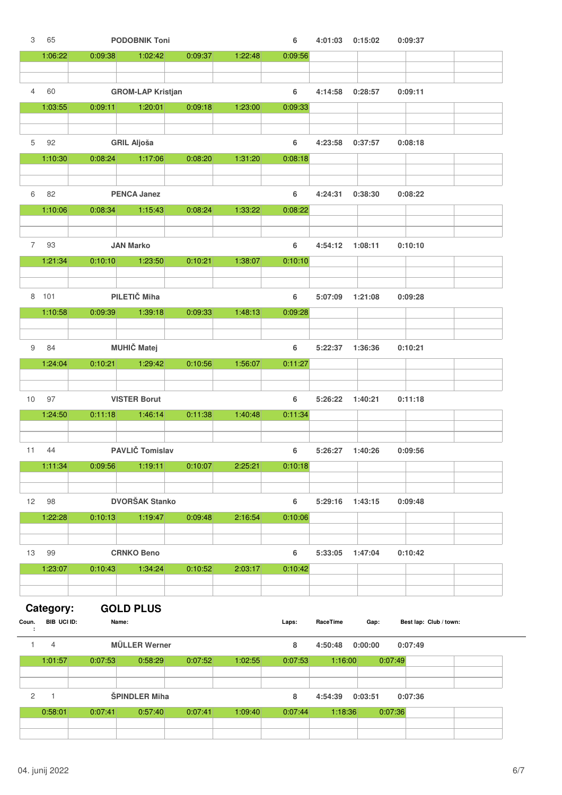| 3              | 65             |         | <b>PODOBNIK Toni</b>     |         |         | 6       | 4:01:03  | 0:15:02 |         | 0:09:37                |  |
|----------------|----------------|---------|--------------------------|---------|---------|---------|----------|---------|---------|------------------------|--|
|                | 1:06:22        | 0:09:38 | 1:02:42                  | 0:09:37 | 1:22:48 | 0:09:56 |          |         |         |                        |  |
|                |                |         |                          |         |         |         |          |         |         |                        |  |
| $\overline{4}$ | 60             |         | <b>GROM-LAP Kristjan</b> |         |         | 6       | 4:14:58  | 0:28:57 |         | 0:09:11                |  |
|                | 1:03:55        | 0:09:11 | 1:20:01                  | 0:09:18 | 1:23:00 | 0:09:33 |          |         |         |                        |  |
|                |                |         |                          |         |         |         |          |         |         |                        |  |
|                |                |         |                          |         |         |         |          |         |         |                        |  |
| 5              | 92             |         | <b>GRIL Aljoša</b>       |         |         | 6       | 4:23:58  | 0:37:57 |         | 0:08:18                |  |
|                | 1:10:30        | 0:08:24 | 1:17:06                  | 0:08:20 | 1:31:20 | 0:08:18 |          |         |         |                        |  |
|                |                |         |                          |         |         |         |          |         |         |                        |  |
| 6              | 82             |         | <b>PENCA Janez</b>       |         |         | 6       | 4:24:31  | 0:38:30 |         | 0:08:22                |  |
|                | 1:10:06        | 0:08:34 | 1:15:43                  | 0:08:24 | 1:33:22 | 0:08:22 |          |         |         |                        |  |
|                |                |         |                          |         |         |         |          |         |         |                        |  |
| 7              | 93             |         | <b>JAN Marko</b>         |         |         | 6       | 4:54:12  | 1:08:11 |         | 0:10:10                |  |
|                | 1:21:34        | 0:10:10 | 1:23:50                  | 0:10:21 | 1:38:07 | 0:10:10 |          |         |         |                        |  |
|                |                |         |                          |         |         |         |          |         |         |                        |  |
|                |                |         |                          |         |         |         |          |         |         |                        |  |
|                | 8 101          |         | PILETIČ Miha             |         |         | 6       | 5:07:09  | 1:21:08 |         | 0:09:28                |  |
|                | 1:10:58        | 0:09:39 | 1:39:18                  | 0:09:33 | 1:48:13 | 0:09:28 |          |         |         |                        |  |
|                |                |         |                          |         |         |         |          |         |         |                        |  |
| 9              | 84             |         | <b>MUHIČ Matej</b>       |         |         | 6       | 5:22:37  | 1:36:36 |         | 0:10:21                |  |
|                | 1:24:04        | 0:10:21 | 1:29:42                  | 0:10:56 | 1:56:07 | 0:11:27 |          |         |         |                        |  |
|                |                |         |                          |         |         |         |          |         |         |                        |  |
|                |                |         |                          |         |         |         |          |         |         |                        |  |
| 10             | 97             |         | <b>VISTER Borut</b>      |         |         | 6       | 5:26:22  | 1:40:21 |         | 0:11:18                |  |
|                | 1:24:50        | 0:11:18 | 1:46:14                  | 0:11:38 | 1:40:48 | 0:11:34 |          |         |         |                        |  |
|                |                |         |                          |         |         |         |          |         |         |                        |  |
| 11             | 44             |         | PAVLIČ Tomislav          |         |         | 6       | 5:26:27  | 1:40:26 |         | 0:09:56                |  |
|                | 1:11:34        | 0:09:56 | 1:19:11                  | 0:10:07 | 2:25:21 | 0:10:18 |          |         |         |                        |  |
|                |                |         |                          |         |         |         |          |         |         |                        |  |
| 12             | 98             |         | <b>DVORŠAK Stanko</b>    |         |         | 6       | 5:29:16  | 1:43:15 |         | 0:09:48                |  |
|                | 1:22:28        | 0:10:13 | 1:19:47                  | 0:09:48 | 2:16:54 | 0:10:06 |          |         |         |                        |  |
|                |                |         |                          |         |         |         |          |         |         |                        |  |
|                |                |         |                          |         |         |         |          |         |         |                        |  |
| 13             | 99             |         | <b>CRNKO Beno</b>        |         |         | 6       | 5:33:05  | 1:47:04 |         | 0:10:42                |  |
|                | 1:23:07        | 0:10:43 | 1:34:24                  | 0:10:52 | 2:03:17 | 0:10:42 |          |         |         |                        |  |
|                |                |         |                          |         |         |         |          |         |         |                        |  |
|                | Category:      |         | <b>GOLD PLUS</b>         |         |         |         |          |         |         |                        |  |
| Coun.          | BIB UCI ID:    |         | Name:                    |         |         | Laps:   | RaceTime | Gap:    |         | Best lap: Club / town: |  |
| ÷              |                |         |                          |         |         |         |          |         |         |                        |  |
| $\mathbf{1}$   | $\overline{4}$ |         | <b>MÜLLER Werner</b>     |         |         | 8       | 4:50:48  | 0:00:00 |         | 0:07:49                |  |
|                | 1:01:57        | 0:07:53 | 0:58:29                  | 0:07:52 | 1:02:55 | 0:07:53 | 1:16:00  |         | 0:07:49 |                        |  |
|                |                |         |                          |         |         |         |          |         |         |                        |  |
| $\overline{2}$ | $\mathbf{1}$   |         | <b>ŠPINDLER Miha</b>     |         |         | 8       | 4:54:39  | 0:03:51 |         | 0:07:36                |  |
|                | 0:58:01        | 0:07:41 | 0:57:40                  | 0:07:41 | 1:09:40 | 0:07:44 | 1:18:36  |         | 0:07:36 |                        |  |
|                |                |         |                          |         |         |         |          |         |         |                        |  |